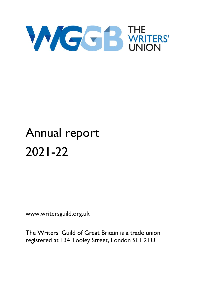

# Annual report 2021-22

www.writersguild.org.uk

The Writers' Guild of Great Britain is a trade union registered at 134 Tooley Street, London SE1 2TU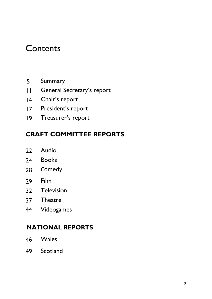## **Contents**

- 5 Summary
- 11 General Secretary's report
- 14 Chair's report
- 17 President's report
- 19 Treasurer's report

#### CRAFT COMMITTEE REPORTS

- 22 Audio
- 24 Books
- 28 Comedy
- 29 Film
- 32 Television
- 37 Theatre
- 44 Videogames

#### NATIONAL REPORTS

- 46 Wales
- 49 Scotland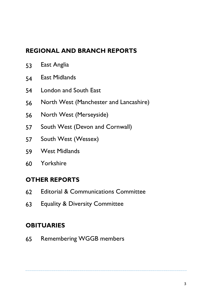#### REGIONAL AND BRANCH REPORTS

- 53 East Anglia
- 54 East Midlands
- 54 London and South East
- 56 North West (Manchester and Lancashire)
- 56 North West (Merseyside)
- 57 South West (Devon and Cornwall)
- 57 South West (Wessex)
- 59 West Midlands
- 60 Yorkshire

#### OTHER REPORTS

- 62 Editorial & Communications Committee
- 63 Equality & Diversity Committee

#### **OBITUARIES**

65 Remembering WGGB members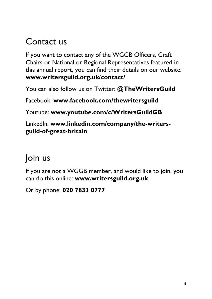## Contact us

If you want to contact any of the WGGB Officers, Craft Chairs or National or Regional Representatives featured in this annual report, you can find their details on our website: www.writersguild.org.uk/contact/

You can also follow us on Twitter: @TheWritersGuild

Facebook: www.facebook.com/thewritersguild

Youtube: www.youtube.com/c/WritersGuildGB

LinkedIn: www.linkedin.com/company/the-writersguild-of-great-britain

## Join us

If you are not a WGGB member, and would like to join, you can do this online: www.writersguild.org.uk

Or by phone: 020 7833 0777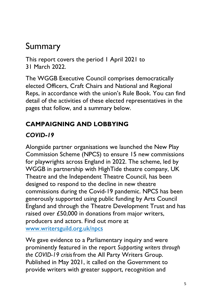## Summary

This report covers the period 1 April 2021 to 31 March 2022.

The WGGB Executive Council comprises democratically elected Officers, Craft Chairs and National and Regional Reps, in accordance with the union's Rule Book. You can find detail of the activities of these elected representatives in the pages that follow, and a summary below.

### CAMPAIGNING AND LOBBYING

#### COVID-19

Alongside partner organisations we launched the New Play Commission Scheme (NPCS) to ensure 15 new commissions for playwrights across England in 2022. The scheme, led by WGGB in partnership with HighTide theatre company, UK Theatre and the Independent Theatre Council, has been designed to respond to the decline in new theatre commissions during the Covid-19 pandemic. NPCS has been generously supported using public funding by Arts Council England and through the Theatre Development Trust and has raised over £50,000 in donations from major writers, producers and actors. Find out more at www.writersguild.org.uk/npcs

We gave evidence to a Parliamentary inquiry and were prominently featured in the report Supporting writers through the COVID-19 crisisfrom the All Party Writers Group. Published in May 2021, it called on the Government to provide writers with greater support, recognition and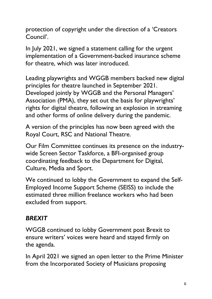protection of copyright under the direction of a 'Creators Council'.

In July 2021, we signed a statement calling for the urgent implementation of a Government-backed insurance scheme for theatre, which was later introduced.

Leading playwrights and WGGB members backed new digital principles for theatre launched in September 2021. Developed jointly by WGGB and the Personal Managers' Association (PMA), they set out the basis for playwrights' rights for digital theatre, following an explosion in streaming and other forms of online delivery during the pandemic.

A version of the principles has now been agreed with the Royal Court, RSC and National Theatre.

Our Film Committee continues its presence on the industrywide Screen Sector Taskforce, a BFI-organised group coordinating feedback to the Department for Digital, Culture, Media and Sport.

We continued to lobby the Government to expand the Self-Employed Income Support Scheme (SEISS) to include the estimated three million freelance workers who had been excluded from support.

#### **BREXIT**

WGGB continued to lobby Government post Brexit to ensure writers' voices were heard and stayed firmly on the agenda.

In April 2021 we signed an open letter to the Prime Minister from the Incorporated Society of Musicians proposing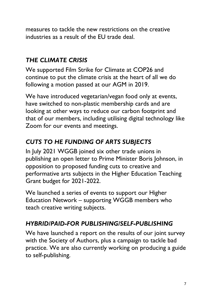measures to tackle the new restrictions on the creative industries as a result of the EU trade deal.

#### THE CLIMATE CRISIS

We supported Film Strike for Climate at COP26 and continue to put the climate crisis at the heart of all we do following a motion passed at our AGM in 2019.

We have introduced vegetarian/vegan food only at events, have switched to non-plastic membership cards and are looking at other ways to reduce our carbon footprint and that of our members, including utilising digital technology like Zoom for our events and meetings.

### CUTS TO HE FUNDING OF ARTS SUBJECTS

In July 2021 WGGB joined six other trade unions in publishing an open letter to Prime Minister Boris Johnson, in opposition to proposed funding cuts to creative and performative arts subjects in the Higher Education Teaching Grant budget for 2021-2022.

We launched a series of events to support our Higher Education Network – supporting WGGB members who teach creative writing subjects.

#### HYBRID/PAID-FOR PUBLISHING/SELF-PUBLISHING

We have launched a report on the results of our joint survey with the Society of Authors, plus a campaign to tackle bad practice. We are also currently working on producing a guide to self-publishing.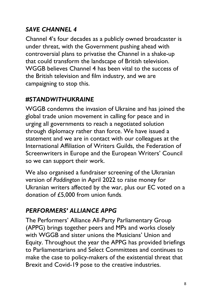## SAVE CHANNEL 4

Channel 4's four decades as a publicly owned broadcaster is under threat, with the Government pushing ahead with controversial plans to privatise the Channel in a shake-up that could transform the landscape of British television. WGGB believes Channel 4 has been vital to the success of the British television and film industry, and we are campaigning to stop this.

#### #STANDWITHUKRAINE

WGGB condemns the invasion of Ukraine and has joined the global trade union movement in calling for peace and in urging all governments to reach a negotiated solution through diplomacy rather than force. We have issued a statement and we are in contact with our colleagues at the International Affiliation of Writers Guilds, the Federation of Screenwriters in Europe and the European Writers' Council so we can support their work.

We also organised a fundraiser screening of the Ukranian version of Paddington in April 2022 to raise money for Ukranian writers affected by the war, plus our EC voted on a donation of £5,000 from union funds.

#### PERFORMERS' ALLIANCE APPG

The Performers' Alliance All-Party Parliamentary Group (APPG) brings together peers and MPs and works closely with WGGB and sister unions the Musicians' Union and Equity. Throughout the year the APPG has provided briefings to Parliamentarians and Select Committees and continues to make the case to policy-makers of the existential threat that Brexit and Covid-19 pose to the creative industries.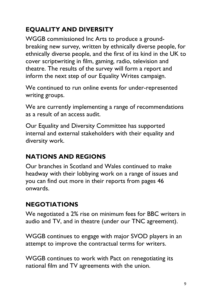## EQUALITY AND DIVERSITY

WGGB commissioned Inc Arts to produce a groundbreaking new survey, written by ethnically diverse people, for ethnically diverse people, and the first of its kind in the UK to cover scriptwriting in film, gaming, radio, television and theatre. The results of the survey will form a report and inform the next step of our Equality Writes campaign.

We continued to run online events for under-represented writing groups.

We are currently implementing a range of recommendations as a result of an access audit.

Our Equality and Diversity Committee has supported internal and external stakeholders with their equality and diversity work.

## NATIONS AND REGIONS

Our branches in Scotland and Wales continued to make headway with their lobbying work on a range of issues and you can find out more in their reports from pages 46 onwards.

## NEGOTIATIONS

We negotiated a 2% rise on minimum fees for BBC writers in audio and TV, and in theatre (under our TNC agreement).

WGGB continues to engage with major SVOD players in an attempt to improve the contractual terms for writers.

WGGB continues to work with Pact on renegotiating its national film and TV agreements with the union.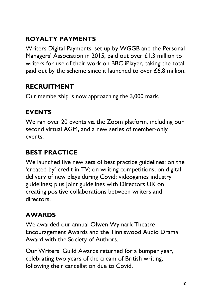## ROYALTY PAYMENTS

Writers Digital Payments, set up by WGGB and the Personal Managers' Association in 2015, paid out over £1.3 million to writers for use of their work on BBC iPlayer, taking the total paid out by the scheme since it launched to over £6.8 million.

#### RECRUITMENT

Our membership is now approaching the 3,000 mark.

#### EVENTS

We ran over 20 events via the Zoom platform, including our second virtual AGM, and a new series of member-only events.

#### BEST PRACTICE

We launched five new sets of best practice guidelines: on the 'created by' credit in TV; on writing competitions; on digital delivery of new plays during Covid; videogames industry guidelines; plus joint guidelines with Directors UK on creating positive collaborations between writers and directors.

## AWARDS

We awarded our annual Olwen Wymark Theatre Encouragement Awards and the Tinniswood Audio Drama Award with the Society of Authors.

Our Writers' Guild Awards returned for a bumper year, celebrating two years of the cream of British writing, following their cancellation due to Covid.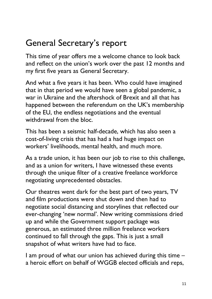## General Secretary's report

This time of year offers me a welcome chance to look back and reflect on the union's work over the past 12 months and my first five years as General Secretary.

And what a five years it has been. Who could have imagined that in that period we would have seen a global pandemic, a war in Ukraine and the aftershock of Brexit and all that has happened between the referendum on the UK's membership of the EU, the endless negotiations and the eventual withdrawal from the bloc.

This has been a seismic half-decade, which has also seen a cost-of-living crisis that has had a had huge impact on workers' livelihoods, mental health, and much more.

As a trade union, it has been our job to rise to this challenge, and as a union for writers, I have witnessed these events through the unique filter of a creative freelance workforce negotiating unprecedented obstacles.

Our theatres went dark for the best part of two years, TV and film productions were shut down and then had to negotiate social distancing and storylines that reflected our ever-changing 'new normal'. New writing commissions dried up and while the Government support package was generous, an estimated three million freelance workers continued to fall through the gaps. This is just a small snapshot of what writers have had to face.

I am proud of what our union has achieved during this time – a heroic effort on behalf of WGGB elected officials and reps,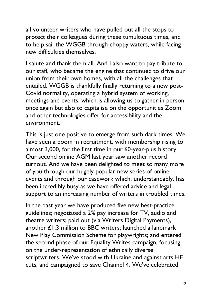all volunteer writers who have pulled out all the stops to protect their colleagues during these tumultuous times, and to help sail the WGGB through choppy waters, while facing new difficulties themselves.

I salute and thank them all. And I also want to pay tribute to our staff, who became the engine that continued to drive our union from their own homes, with all the challenges that entailed. WGGB is thankfully finally returning to a new post-Covid normality, operating a hybrid system of working, meetings and events, which is allowing us to gather in person once again but also to capitalise on the opportunities Zoom and other technologies offer for accessibility and the environment.

This is just one positive to emerge from such dark times. We have seen a boom in recruitment, with membership rising to almost 3,000, for the first time in our 60-year-plus history. Our second online AGM last year saw another record turnout. And we have been delighted to meet so many more of you through our hugely popular new series of online events and through our casework which, understandably, has been incredibly busy as we have offered advice and legal support to an increasing number of writers in troubled times.

In the past year we have produced five new best-practice guidelines; negotiated a 2% pay increase for TV, audio and theatre writers; paid out (via Writers Digital Payments), another £1.3 million to BBC writers; launched a landmark New Play Commission Scheme for playwrights; and entered the second phase of our Equality Writes campaign, focusing on the under-representation of ethnically diverse scriptwriters. We've stood with Ukraine and against arts HE cuts, and campaigned to save Channel 4. We've celebrated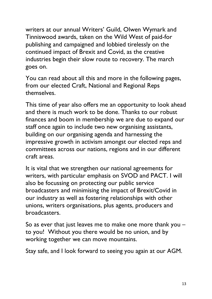writers at our annual Writers' Guild, Olwen Wymark and Tinniswood awards, taken on the Wild West of paid-for publishing and campaigned and lobbied tirelessly on the continued impact of Brexit and Covid, as the creative industries begin their slow route to recovery. The march goes on.

You can read about all this and more in the following pages, from our elected Craft, National and Regional Reps themselves.

This time of year also offers me an opportunity to look ahead and there is much work to be done. Thanks to our robust finances and boom in membership we are due to expand our staff once again to include two new organising assistants, building on our organising agenda and harnessing the impressive growth in activism amongst our elected reps and committees across our nations, regions and in our different craft areas.

It is vital that we strengthen our national agreements for writers, with particular emphasis on SVOD and PACT. I will also be focussing on protecting our public service broadcasters and minimising the impact of Brexit/Covid in our industry as well as fostering relationships with other unions, writers organisations, plus agents, producers and broadcasters.

So as ever that just leaves me to make one more thank you – to you! Without you there would be no union, and by working together we can move mountains.

Stay safe, and I look forward to seeing you again at our AGM.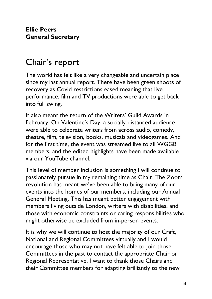## Chair's report

The world has felt like a very changeable and uncertain place since my last annual report. There have been green shoots of recovery as Covid restrictions eased meaning that live performance, film and TV productions were able to get back into full swing.

It also meant the return of the Writers' Guild Awards in February. On Valentine's Day, a socially distanced audience were able to celebrate writers from across audio, comedy, theatre, film, television, books, musicals and videogames. And for the first time, the event was streamed live to all WGGB members, and the edited highlights have been made available via our YouTube channel.

This level of member inclusion is something I will continue to passionately pursue in my remaining time as Chair. The Zoom revolution has meant we've been able to bring many of our events into the homes of our members, including our Annual General Meeting. This has meant better engagement with members living outside London, writers with disabilities, and those with economic constraints or caring responsibilities who might otherwise be excluded from in-person events.

It is why we will continue to host the majority of our Craft, National and Regional Committees virtually and I would encourage those who may not have felt able to join those Committees in the past to contact the appropriate Chair or Regional Representative. I want to thank those Chairs and their Committee members for adapting brilliantly to the new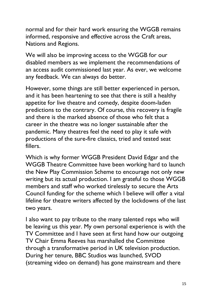normal and for their hard work ensuring the WGGB remains informed, responsive and effective across the Craft areas, Nations and Regions.

We will also be improving access to the WGGB for our disabled members as we implement the recommendations of an access audit commissioned last year. As ever, we welcome any feedback. We can always do better.

However, some things are still better experienced in person, and it has been heartening to see that there is still a healthy appetite for live theatre and comedy, despite doom-laden predictions to the contrary. Of course, this recovery is fragile and there is the marked absence of those who felt that a career in the theatre was no longer sustainable after the pandemic. Many theatres feel the need to play it safe with productions of the sure-fire classics, tried and tested seat fillers.

Which is why former WGGB President David Edgar and the WGGB Theatre Committee have been working hard to launch the New Play Commission Scheme to encourage not only new writing but its actual production. I am grateful to those WGGB members and staff who worked tirelessly to secure the Arts Council funding for the scheme which I believe will offer a vital lifeline for theatre writers affected by the lockdowns of the last two years.

I also want to pay tribute to the many talented reps who will be leaving us this year. My own personal experience is with the TV Committee and I have seen at first hand how our outgoing TV Chair Emma Reeves has marshalled the Committee through a transformative period in UK television production. During her tenure, BBC Studios was launched, SVOD (streaming video on demand) has gone mainstream and there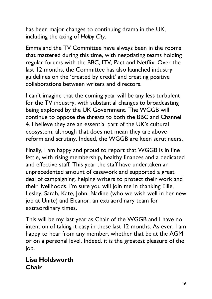has been major changes to continuing drama in the UK, including the axing of Holby City.

Emma and the TV Committee have always been in the rooms that mattered during this time, with negotiating teams holding regular forums with the BBC, ITV, Pact and Netflix. Over the last 12 months, the Committee has also launched industry guidelines on the 'created by credit' and creating positive collaborations between writers and directors.

I can't imagine that the coming year will be any less turbulent for the TV industry, with substantial changes to broadcasting being explored by the UK Government. The WGGB will continue to oppose the threats to both the BBC and Channel 4. I believe they are an essential part of the UK's cultural ecosystem, although that does not mean they are above reform and scrutiny. Indeed, the WGGB are keen scrutineers.

Finally, I am happy and proud to report that WGGB is in fine fettle, with rising membership, healthy finances and a dedicated and effective staff. This year the staff have undertaken an unprecedented amount of casework and supported a great deal of campaigning, helping writers to protect their work and their livelihoods. I'm sure you will join me in thanking Ellie, Lesley, Sarah, Kate, John, Nadine (who we wish well in her new job at Unite) and Eleanor; an extraordinary team for extraordinary times.

This will be my last year as Chair of the WGGB and I have no intention of taking it easy in these last 12 months. As ever, I am happy to hear from any member, whether that be at the AGM or on a personal level. Indeed, it is the greatest pleasure of the job.

#### Lisa Holdsworth Chair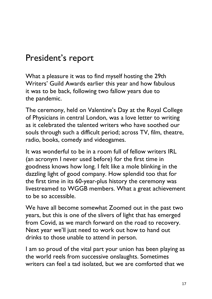## President's report

What a pleasure it was to find myself hosting the 29th Writers' Guild Awards earlier this year and how fabulous it was to be back, following two fallow years due to the pandemic.

The ceremony, held on Valentine's Day at the Royal College of Physicians in central London, was a love letter to writing as it celebrated the talented writers who have soothed our souls through such a difficult period; across TV, film, theatre, radio, books, comedy and videogames.

It was wonderful to be in a room full of fellow writers IRL (an acronym I never used before) for the first time in goodness knows how long. I felt like a mole blinking in the dazzling light of good company. How splendid too that for the first time in its 60-year-plus history the ceremony was livestreamed to WGGB members. What a great achievement to be so accessible.

We have all become somewhat Zoomed out in the past two years, but this is one of the slivers of light that has emerged from Covid, as we march forward on the road to recovery. Next year we'll just need to work out how to hand out drinks to those unable to attend in person.

I am so proud of the vital part your union has been playing as the world reels from successive onslaughts. Sometimes writers can feel a tad isolated, but we are comforted that we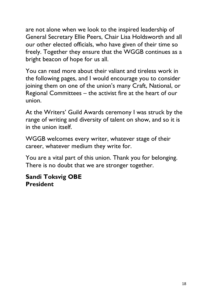are not alone when we look to the inspired leadership of General Secretary Ellie Peers, Chair Lisa Holdsworth and all our other elected officials, who have given of their time so freely. Together they ensure that the WGGB continues as a bright beacon of hope for us all.

You can read more about their valiant and tireless work in the following pages, and I would encourage you to consider joining them on one of the union's many Craft, National, or Regional Committees – the activist fire at the heart of our union.

At the Writers' Guild Awards ceremony I was struck by the range of writing and diversity of talent on show, and so it is in the union itself.

WGGB welcomes every writer, whatever stage of their career, whatever medium they write for.

You are a vital part of this union. Thank you for belonging. There is no doubt that we are stronger together.

#### Sandi Toksvig OBE President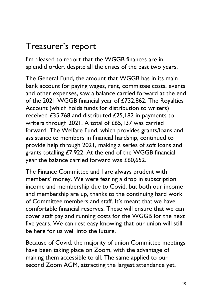## Treasurer's report

I'm pleased to report that the WGGB finances are in splendid order, despite all the crises of the past two years.

The General Fund, the amount that WGGB has in its main bank account for paying wages, rent, committee costs, events and other expenses, saw a balance carried forward at the end of the 2021 WGGB financial year of £732,862. The Royalties Account (which holds funds for distribution to writers) received £35,768 and distributed £25,182 in payments to writers through 2021. A total of £65,137 was carried forward. The Welfare Fund, which provides grants/loans and assistance to members in financial hardship, continued to provide help through 2021, making a series of soft loans and grants totalling £7,922. At the end of the WGGB financial year the balance carried forward was £60,652.

The Finance Committee and I are always prudent with members' money. We were fearing a drop in subscription income and membership due to Covid, but both our income and membership are up, thanks to the continuing hard work of Committee members and staff. It's meant that we have comfortable financial reserves. These will ensure that we can cover staff pay and running costs for the WGGB for the next five years. We can rest easy knowing that our union will still be here for us well into the future.

Because of Covid, the majority of union Committee meetings have been taking place on Zoom, with the advantage of making them accessible to all. The same applied to our second Zoom AGM, attracting the largest attendance yet.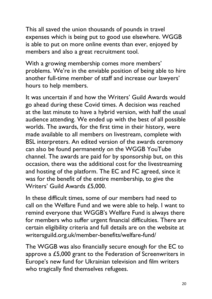This all saved the union thousands of pounds in travel expenses which is being put to good use elsewhere. WGGB is able to put on more online events than ever, enjoyed by members and also a great recruitment tool.

With a growing membership comes more members' problems. We're in the enviable position of being able to hire another full-time member of staff and increase our lawyers' hours to help members.

It was uncertain if and how the Writers' Guild Awards would go ahead during these Covid times. A decision was reached at the last minute to have a hybrid version, with half the usual audience attending. We ended up with the best of all possible worlds. The awards, for the first time in their history, were made available to all members on livestream, complete with BSL interpreters. An edited version of the awards ceremony can also be found permanently on the WGGB YouTube channel. The awards are paid for by sponsorship but, on this occasion, there was the additional cost for the livestreaming and hosting of the platform. The EC and FC agreed, since it was for the benefit of the entire membership, to give the Writers' Guild Awards £5,000.

In these difficult times, some of our members had need to call on the Welfare Fund and we were able to help. I want to remind everyone that WGGB's Welfare Fund is always there for members who suffer urgent financial difficulties. There are certain eligibility criteria and full details are on the website at writersguild.org.uk/member-benefits/welfare-fund/

The WGGB was also financially secure enough for the EC to approve a £5,000 grant to the Federation of Screenwriters in Europe's new fund for Ukrainian television and film writers who tragically find themselves refugees.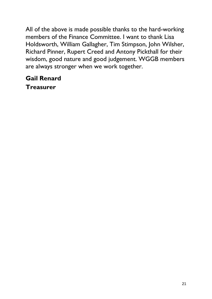All of the above is made possible thanks to the hard-working members of the Finance Committee. I want to thank Lisa Holdsworth, William Gallagher, Tim Stimpson, John Wilsher, Richard Pinner, Rupert Creed and Antony Pickthall for their wisdom, good nature and good judgement. WGGB members are always stronger when we work together.

#### Gail Renard **Treasurer**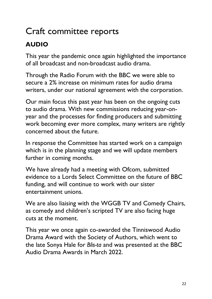## Craft committee reports

## AUDIO

This year the pandemic once again highlighted the importance of all broadcast and non-broadcast audio drama.

Through the Radio Forum with the BBC we were able to secure a 2% increase on minimum rates for audio drama writers, under our national agreement with the corporation.

Our main focus this past year has been on the ongoing cuts to audio drama. With new commissions reducing year-onyear and the processes for finding producers and submitting work becoming ever more complex, many writers are rightly concerned about the future.

In response the Committee has started work on a campaign which is in the planning stage and we will update members further in coming months.

We have already had a meeting with Ofcom, submitted evidence to a Lords Select Committee on the future of BBC funding, and will continue to work with our sister entertainment unions.

We are also liaising with the WGGB TV and Comedy Chairs, as comedy and children's scripted TV are also facing huge cuts at the moment.

This year we once again co-awarded the Tinniswood Audio Drama Award with the Society of Authors, which went to the late Sonya Hale for Blis-ta and was presented at the BBC Audio Drama Awards in March 2022.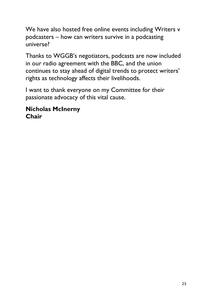We have also hosted free online events including Writers v podcasters – how can writers survive in a podcasting universe?

Thanks to WGGB's negotiators, podcasts are now included in our radio agreement with the BBC, and the union continues to stay ahead of digital trends to protect writers' rights as technology affects their livelihoods.

I want to thank everyone on my Committee for their passionate advocacy of this vital cause.

#### Nicholas McInerny Chair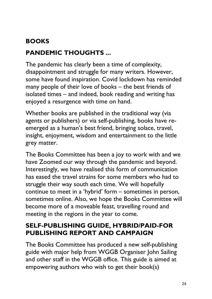## BOOKS

## PANDEMIC THOUGHTS ...

The pandemic has clearly been a time of complexity, disappointment and struggle for many writers. However, some have found inspiration. Covid lockdown has reminded many people of their love of books – the best friends of isolated times – and indeed, book reading and writing has enjoyed a resurgence with time on hand.

Whether books are published in the traditional way (via agents or publishers) or via self-publishing, books have reemerged as a human's best friend, bringing solace, travel, insight, enjoyment, wisdom and entertainment to the little grey matter.

The Books Committee has been a joy to work with and we have Zoomed our way through the pandemic and beyond. Interestingly, we have realised this form of communication has eased the travel strains for some members who had to struggle their way south each time. We will hopefully continue to meet in a 'hybrid' form – sometimes in person, sometimes online. Also, we hope the Books Committee will become more of a moveable feast, travelling round and meeting in the regions in the year to come.

#### SELF-PUBLISHING GUIDE, HYBRID/PAID-FOR PUBLISHING REPORT AND CAMPAIGN

The Books Committee has produced a new self-publishing guide with major help from WGGB Organiser John Sailing and other staff in the WGGB office. This guide is aimed at empowering authors who wish to get their book(s)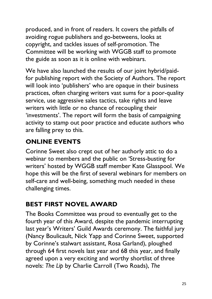produced, and in front of readers. It covers the pitfalls of avoiding rogue publishers and go-betweens, looks at copyright, and tackles issues of self-promotion. The Committee will be working with WGGB staff to promote the guide as soon as it is online with webinars.

We have also launched the results of our joint hybrid/paidfor publishing report with the Society of Authors. The report will look into 'publishers' who are opaque in their business practices, often charging writers vast sums for a poor-quality service, use aggressive sales tactics, take rights and leave writers with little or no chance of recoupling their 'investments'. The report will form the basis of campaigning activity to stamp out poor practice and educate authors who are falling prey to this.

## ONLINE EVENTS

Corinne Sweet also crept out of her authorly attic to do a webinar to members and the public on 'Stress-busting for writers' hosted by WGGB staff member Kate Glasspool. We hope this will be the first of several webinars for members on self-care and well-being, something much needed in these challenging times.

## BEST FIRST NOVEL AWARD

The Books Committee was proud to eventually get to the fourth year of this Award, despite the pandemic interrupting last year's Writers' Guild Awards ceremony. The faithful jury (Nancy Boulicault, Nick Yapp and Corinne Sweet, supported by Corinne's stalwart assistant, Rosa Garland), ploughed through 64 first novels last year and 68 this year, and finally agreed upon a very exciting and worthy shortlist of three novels: The Lip by Charlie Carroll (Two Roads), The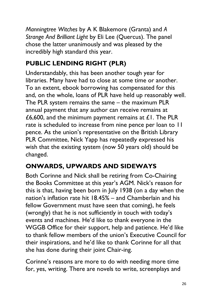Manningtree Witches by A K Blakemore (Granta) and A Strange And Brilliant Light by Eli Lee (Quercus). The panel chose the latter unanimously and was pleased by the incredibly high standard this year.

## PUBLIC LENDING RIGHT (PLR)

Understandably, this has been another tough year for libraries. Many have had to close at some time or another. To an extent, ebook borrowing has compensated for this and, on the whole, loans of PLR have held up reasonably well. The PLR system remains the same – the maximum PLR annual payment that any author can receive remains at £6,600, and the minimum payment remains at  $£1$ . The PLR rate is scheduled to increase from nine pence per loan to 11 pence. As the union's representative on the British Library PLR Committee, Nick Yapp has repeatedly expressed his wish that the existing system (now 50 years old) should be changed.

## ONWARDS, UPWARDS AND SIDEWAYS

Both Corinne and Nick shall be retiring from Co-Chairing the Books Committee at this year's AGM. Nick's reason for this is that, having been born in July 1938 (on a day when the nation's inflation rate hit 18.45% – and Chamberlain and his fellow Government must have seen that coming), he feels (wrongly) that he is not sufficiently in touch with today's events and machines. He'd like to thank everyone in the WGGB Office for their support, help and patience. He'd like to thank fellow members of the union's Executive Council for their inspirations, and he'd like to thank Corinne for all that she has done during their joint Chair-ing.

Corinne's reasons are more to do with needing more time for, yes, writing. There are novels to write, screenplays and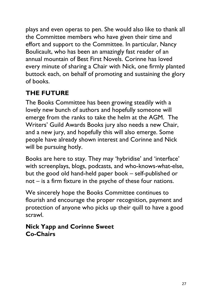plays and even operas to pen. She would also like to thank all the Committee members who have given their time and effort and support to the Committee. In particular, Nancy Boulicault, who has been an amazingly fast reader of an annual mountain of Best First Novels. Corinne has loved every minute of sharing a Chair with Nick, one firmly planted buttock each, on behalf of promoting and sustaining the glory of books.

## THE FUTURE

The Books Committee has been growing steadily with a lovely new bunch of authors and hopefully someone will emerge from the ranks to take the helm at the AGM. The Writers' Guild Awards Books jury also needs a new Chair, and a new jury, and hopefully this will also emerge. Some people have already shown interest and Corinne and Nick will be pursuing hotly.

Books are here to stay. They may 'hybridise' and 'interface' with screenplays, blogs, podcasts, and who-knows-what-else, but the good old hand-held paper book – self-published or not – is a firm fixture in the psyche of these four nations.

We sincerely hope the Books Committee continues to flourish and encourage the proper recognition, payment and protection of anyone who picks up their quill to have a good scrawl.

#### Nick Yapp and Corinne Sweet Co-Chairs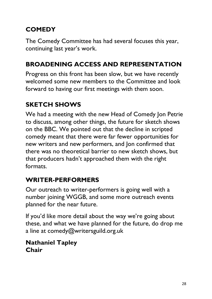## **COMEDY**

The Comedy Committee has had several focuses this year, continuing last year's work.

## BROADENING ACCESS AND REPRESENTATION

Progress on this front has been slow, but we have recently welcomed some new members to the Committee and look forward to having our first meetings with them soon.

## SKETCH SHOWS

We had a meeting with the new Head of Comedy Jon Petrie to discuss, among other things, the future for sketch shows on the BBC. We pointed out that the decline in scripted comedy meant that there were far fewer opportunities for new writers and new performers, and Jon confirmed that there was no theoretical barrier to new sketch shows, but that producers hadn't approached them with the right formats.

## WRITER-PERFORMERS

Our outreach to writer-performers is going well with a number joining WGGB, and some more outreach events planned for the near future.

If you'd like more detail about the way we're going about these, and what we have planned for the future, do drop me a line at comedy@writersguild.org.uk

#### Nathaniel Tapley Chair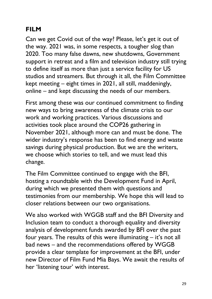## **FILM**

Can we get Covid out of the way? Please, let's get it out of the way. 2021 was, in some respects, a tougher slog than 2020. Too many false dawns, new shutdowns, Government support in retreat and a film and television industry still trying to define itself as more than just a service facility for US studios and streamers. But through it all, the Film Committee kept meeting – eight times in 2021, all still, maddeningly, online – and kept discussing the needs of our members.

First among these was our continued commitment to finding new ways to bring awareness of the climate crisis to our work and working practices. Various discussions and activities took place around the COP26 gathering in November 2021, although more can and must be done. The wider industry's response has been to find energy and waste savings during physical production. But we are the writers, we choose which stories to tell, and we must lead this change.

The Film Committee continued to engage with the BFI, hosting a roundtable with the Development Fund in April, during which we presented them with questions and testimonies from our membership. We hope this will lead to closer relations between our two organisations.

We also worked with WGGB staff and the BFI Diversity and Inclusion team to conduct a thorough equality and diversity analysis of development funds awarded by BFI over the past four years. The results of this were illuminating – it's not all bad news – and the recommendations offered by WGGB provide a clear template for improvement at the BFI, under new Director of Film Fund Mia Bays. We await the results of her 'listening tour' with interest.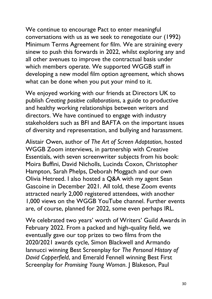We continue to encourage Pact to enter meaningful conversations with us as we seek to renegotiate our (1992) Minimum Terms Agreement for film. We are straining every sinew to push this forwards in 2022, whilst exploring any and all other avenues to improve the contractual basis under which members operate. We supported WGGB staff in developing a new model film option agreement, which shows what can be done when you put your mind to it.

We enjoyed working with our friends at Directors UK to publish Creating positive collaborations, a guide to productive and healthy working relationships between writers and directors. We have continued to engage with industry stakeholders such as BFI and BAFTA on the important issues of diversity and representation, and bullying and harassment.

Alistair Owen, author of The Art of Screen Adaptation, hosted WGGB Zoom interviews, in partnership with Creative Essentials, with seven screenwriter subjects from his book: Moira Buffini, David Nicholls, Lucinda Coxon, Christopher Hampton, Sarah Phelps, Deborah Moggach and our own Olivia Hetreed. I also hosted a Q&A with my agent Sean Gascoine in December 2021. All told, these Zoom events attracted nearly 2,000 registered attendees, with another 1,000 views on the WGGB YouTube channel. Further events are, of course, planned for 2022, some even perhaps IRL.

We celebrated two years' worth of Writers' Guild Awards in February 2022. From a packed and high-quality field, we eventually gave our top prizes to two films from the 2020/2021 awards cycle, Simon Blackwell and Armando Iannucci winning Best Screenplay for The Personal History of David Copperfield, and Emerald Fennell winning Best First Screenplay for Promising Young Woman. J Blakeson, Paul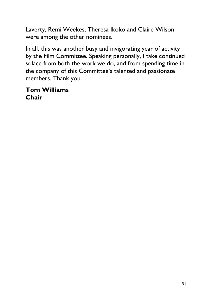Laverty, Remi Weekes, Theresa Ikoko and Claire Wilson were among the other nominees.

In all, this was another busy and invigorating year of activity by the Film Committee. Speaking personally, I take continued solace from both the work we do, and from spending time in the company of this Committee's talented and passionate members. Thank you.

#### Tom Williams Chair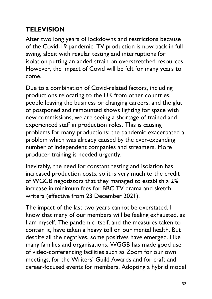## **TELEVISION**

After two long years of lockdowns and restrictions because of the Covid-19 pandemic, TV production is now back in full swing, albeit with regular testing and interruptions for isolation putting an added strain on overstretched resources. However, the impact of Covid will be felt for many years to come.

Due to a combination of Covid-related factors, including productions relocating to the UK from other countries, people leaving the business or changing careers, and the glut of postponed and remounted shows fighting for space with new commissions, we are seeing a shortage of trained and experienced staff in production roles. This is causing problems for many productions; the pandemic exacerbated a problem which was already caused by the ever-expanding number of independent companies and streamers. More producer training is needed urgently.

Inevitably, the need for constant testing and isolation has increased production costs, so it is very much to the credit of WGGB negotiators that they managed to establish a 2% increase in minimum fees for BBC TV drama and sketch writers (effective from 23 December 2021).

The impact of the last two years cannot be overstated. I know that many of our members will be feeling exhausted, as I am myself. The pandemic itself, and the measures taken to contain it, have taken a heavy toll on our mental health. But despite all the negatives, some positives have emerged. Like many families and organisations, WGGB has made good use of video-conferencing facilities such as Zoom for our own meetings, for the Writers' Guild Awards and for craft and career-focused events for members. Adopting a hybrid model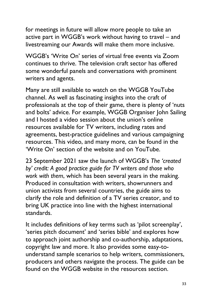for meetings in future will allow more people to take an active part in WGGB's work without having to travel – and livestreaming our Awards will make them more inclusive.

WGGB's 'Write On' series of virtual free events via Zoom continues to thrive. The television craft sector has offered some wonderful panels and conversations with prominent writers and agents.

Many are still available to watch on the WGGB YouTube channel. As well as fascinating insights into the craft of professionals at the top of their game, there is plenty of 'nuts and bolts' advice. For example, WGGB Organiser John Sailing and I hosted a video session about the union's online resources available for TV writers, including rates and agreements, best-practice guidelines and various campaigning resources. This video, and many more, can be found in the 'Write On' section of the website and on YouTube.

23 September 2021 saw the launch of WGGB's The 'created by' credit: A good practice guide for TV writers and those who work with them, which has been several years in the making. Produced in consultation with writers, showrunners and union activists from several countries, the guide aims to clarify the role and definition of a TV series creator, and to bring UK practice into line with the highest international standards.

It includes definitions of key terms such as 'pilot screenplay', 'series pitch document' and 'series bible' and explores how to approach joint authorship and co-authorship, adaptations, copyright law and more. It also provides some easy-tounderstand sample scenarios to help writers, commissioners, producers and others navigate the process. The guide can be found on the WGGB website in the resources section.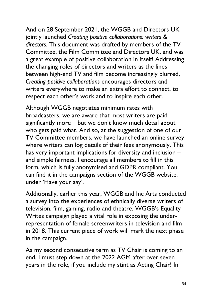And on 28 September 2021, the WGGB and Directors UK jointly launched Creating positive collaborations: writers & directors. This document was drafted by members of the TV Committee, the Film Committee and Directors UK, and was a great example of positive collaboration in itself! Addressing the changing roles of directors and writers as the lines between high-end TV and film become increasingly blurred, Creating positive collaborations encourages directors and writers everywhere to make an extra effort to connect, to respect each other's work and to inspire each other.

Although WGGB negotiates minimum rates with broadcasters, we are aware that most writers are paid significantly more – but we don't know much detail about who gets paid what. And so, at the suggestion of one of our TV Committee members, we have launched an online survey where writers can log details of their fees anonymously. This has very important implications for diversity and inclusion – and simple fairness. I encourage all members to fill in this form, which is fully anonymised and GDPR compliant. You can find it in the campaigns section of the WGGB website, under 'Have your say'.

Additionally, earlier this year, WGGB and Inc Arts conducted a survey into the experiences of ethnically diverse writers of television, film, gaming, radio and theatre. WGGB's Equality Writes campaign played a vital role in exposing the underrepresentation of female screenwriters in television and film in 2018. This current piece of work will mark the next phase in the campaign.

As my second consecutive term as TV Chair is coming to an end, I must step down at the 2022 AGM after over seven years in the role, if you include my stint as Acting Chair! In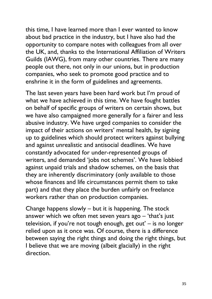this time, I have learned more than I ever wanted to know about bad practice in the industry, but I have also had the opportunity to compare notes with colleagues from all over the UK, and, thanks to the International Affiliation of Writers Guilds (IAWG), from many other countries. There are many people out there, not only in our unions, but in production companies, who seek to promote good practice and to enshrine it in the form of guidelines and agreements.

The last seven years have been hard work but I'm proud of what we have achieved in this time. We have fought battles on behalf of specific groups of writers on certain shows, but we have also campaigned more generally for a fairer and less abusive industry. We have urged companies to consider the impact of their actions on writers' mental health, by signing up to guidelines which should protect writers against bullying and against unrealistic and antisocial deadlines. We have constantly advocated for under-represented groups of writers, and demanded 'jobs not schemes'. We have lobbied against unpaid trials and shadow schemes, on the basis that they are inherently discriminatory (only available to those whose finances and life circumstances permit them to take part) and that they place the burden unfairly on freelance workers rather than on production companies.

Change happens slowly – but it is happening. The stock answer which we often met seven years ago – 'that's just television, if you're not tough enough, get out' – is no longer relied upon as it once was. Of course, there is a difference between saying the right things and doing the right things, but I believe that we are moving (albeit glacially) in the right direction.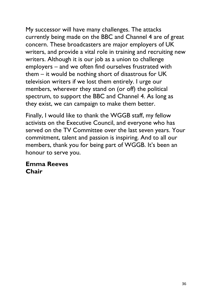My successor will have many challenges. The attacks currently being made on the BBC and Channel 4 are of great concern. These broadcasters are major employers of UK writers, and provide a vital role in training and recruiting new writers. Although it is our job as a union to challenge employers – and we often find ourselves frustrated with them – it would be nothing short of disastrous for UK television writers if we lost them entirely. I urge our members, wherever they stand on (or off) the political spectrum, to support the BBC and Channel 4. As long as they exist, we can campaign to make them better.

Finally, I would like to thank the WGGB staff, my fellow activists on the Executive Council, and everyone who has served on the TV Committee over the last seven years. Your commitment, talent and passion is inspiring. And to all our members, thank you for being part of WGGB. It's been an honour to serve you.

#### Emma Reeves Chair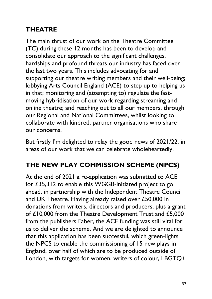## THEATRE

The main thrust of our work on the Theatre Committee (TC) during these 12 months has been to develop and consolidate our approach to the significant challenges, hardships and profound threats our industry has faced over the last two years. This includes advocating for and supporting our theatre writing members and their well-being; lobbying Arts Council England (ACE) to step up to helping us in that; monitoring and (attempting to) regulate the fastmoving hybridisation of our work regarding streaming and online theatre; and reaching out to all our members, through our Regional and National Committees, whilst looking to collaborate with kindred, partner organisations who share our concerns.

But firstly I'm delighted to relay the good news of 2021/22, in areas of our work that we can celebrate wholeheartedly.

## THE NEW PLAY COMMISSION SCHEME (NPCS)

At the end of 2021 a re-application was submitted to ACE for £35,312 to enable this WGGB-initiated project to go ahead, in partnership with the Independent Theatre Council and UK Theatre. Having already raised over £50,000 in donations from writers, directors and producers, plus a grant of £10,000 from the Theatre Development Trust and £5,000 from the publishers Faber, the ACE funding was still vital for us to deliver the scheme. And we are delighted to announce that this application has been successful, which green-lights the NPCS to enable the commissioning of 15 new plays in England, over half of which are to be produced outside of London, with targets for women, writers of colour, LBGTQ+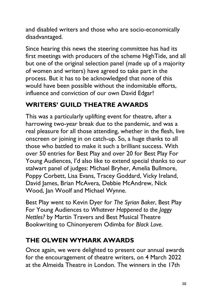and disabled writers and those who are socio-economically disadvantaged.

Since hearing this news the steering committee has had its first meetings with producers of the scheme HighTide, and all but one of the original selection panel (made up of a majority of women and writers) have agreed to take part in the process. But it has to be acknowledged that none of this would have been possible without the indomitable efforts, influence and conviction of our own David Edgar!

### WRITERS' GUILD THEATRE AWARDS

This was a particularly uplifting event for theatre, after a harrowing two-year break due to the pandemic, and was a real pleasure for all those attending, whether in the flesh, live onscreen or joining in on catch-up. So, a huge thanks to all those who battled to make it such a brilliant success. With over 50 entries for Best Play and over 20 for Best Play For Young Audiences, I'd also like to extend special thanks to our stalwart panel of judges: Michael Bryher, Amelia Bullmore, Poppy Corbett, Lisa Evans, Tracey Goddard, Vicky Ireland, David James, Brian McAvera, Debbie McAndrew, Nick Wood, Jan Woolf and Michael Wynne.

Best Play went to Kevin Dyer for The Syrian Baker, Best Play For Young Audiences to Whatever Happened to the Jaggy Nettles? by Martin Travers and Best Musical Theatre Bookwriting to Chinonyerem Odimba for Black Love.

## THE OLWEN WYMARK AWARDS

Once again, we were delighted to present our annual awards for the encouragement of theatre writers, on 4 March 2022 at the Almeida Theatre in London. The winners in the 17th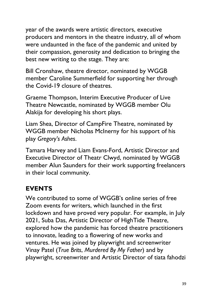year of the awards were artistic directors, executive producers and mentors in the theatre industry, all of whom were undaunted in the face of the pandemic and united by their compassion, generosity and dedication to bringing the best new writing to the stage. They are:

Bill Cronshaw, theatre director, nominated by WGGB member Caroline Summerfield for supporting her through the Covid-19 closure of theatres.

Graeme Thompson, Interim Executive Producer of Live Theatre Newcastle, nominated by WGGB member Olu Alakija for developing his short plays.

Liam Shea, Director of CampFire Theatre, nominated by WGGB member Nicholas McInerny for his support of his play Gregory's Ashes.

Tamara Harvey and Liam Evans-Ford, Artistic Director and Executive Director of Theatr Clwyd, nominated by WGGB member Alun Saunders for their work supporting freelancers in their local community.

#### EVENTS

We contributed to some of WGGB's online series of free Zoom events for writers, which launched in the first lockdown and have proved very popular. For example, in July 2021, Suba Das, Artistic Director of HighTide Theatre, explored how the pandemic has forced theatre practitioners to innovate, leading to a flowering of new works and ventures. He was joined by playwright and screenwriter Vinay Patel (True Brits, Murdered By My Father) and by playwright, screenwriter and Artistic Director of tiata fahodzi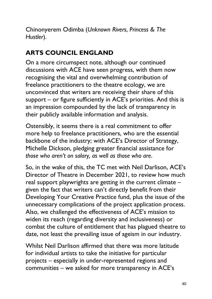Chinonyerem Odimba (Unknown Rivers, Princess & The Hustler).

## ARTS COUNCIL ENGLAND

On a more circumspect note, although our continued discussions with ACE have seen progress, with them now recognising the vital and overwhelming contribution of freelance practitioners to the theatre ecology, we are unconvinced that writers are receiving their share of this support – or figure sufficiently in ACE's priorities. And this is an impression compounded by the lack of transparency in their publicly available information and analysis.

Ostensibly, it seems there is a real commitment to offer more help to freelance practitioners, who are the essential backbone of the industry; with ACE's Director of Strategy, Michelle Dickson, pledging greater financial assistance for those who aren't on salary, as well as those who are.

So, in the wake of this, the TC met with Neil Darlison, ACE's Director of Theatre in December 2021, to review how much real support playwrights are getting in the current climate – given the fact that writers can't directly benefit from their Developing Your Creative Practice fund, plus the issue of the unnecessary complications of the project application process. Also, we challenged the effectiveness of ACE's mission to widen its reach (regarding diversity and inclusiveness) or combat the culture of entitlement that has plagued theatre to date, not least the prevailing issue of ageism in our industry.

Whilst Neil Darlison affirmed that there was more latitude for individual artists to take the initiative for particular projects – especially in under-represented regions and communities – we asked for more transparency in ACE's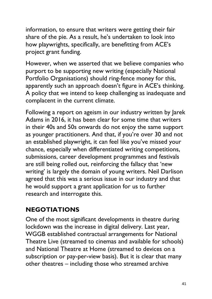information, to ensure that writers were getting their fair share of the pie. As a result, he's undertaken to look into how playwrights, specifically, are benefitting from ACE's project grant funding.

However, when we asserted that we believe companies who purport to be supporting new writing (especially National Portfolio Organisations) should ring-fence money for this, apparently such an approach doesn't figure in ACE's thinking. A policy that we intend to keep challenging as inadequate and complacent in the current climate.

Following a report on ageism in our industry written by Jarek Adams in 2016, it has been clear for some time that writers in their 40s and 50s onwards do not enjoy the same support as younger practitioners. And that, if you're over 30 and not an established playwright, it can feel like you've missed your chance, especially when differentiated writing competitions, submissions, career development programmes and festivals are still being rolled out, reinforcing the fallacy that 'new writing' is largely the domain of young writers. Neil Darlison agreed that this was a serious issue in our industry and that he would support a grant application for us to further research and interrogate this.

## NEGOTIATIONS

One of the most significant developments in theatre during lockdown was the increase in digital delivery. Last year, WGGB established contractual arrangements for National Theatre Live (streamed to cinemas and available for schools) and National Theatre at Home (streamed to devices on a subscription or pay-per-view basis). But it is clear that many other theatres – including those who streamed archive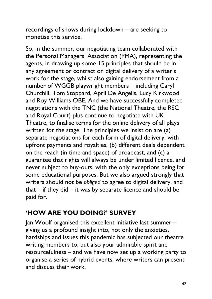recordings of shows during lockdown – are seeking to monetise this service.

So, in the summer, our negotiating team collaborated with the Personal Managers' Association (PMA), representing the agents, in drawing up some 15 principles that should be in any agreement or contract on digital delivery of a writer's work for the stage, whilst also gaining endorsement from a number of WGGB playwright members – including Caryl Churchill, Tom Stoppard, April De Angelis, Lucy Kirkwood and Roy Williams OBE. And we have successfully completed negotiations with the TNC (the National Theatre, the RSC and Royal Court) plus continue to negotiate with UK Theatre, to finalise terms for the online delivery of all plays written for the stage. The principles we insist on are (a) separate negotiations for each form of digital delivery, with upfront payments and royalties, (b) different deals dependent on the reach (in time and space) of broadcast, and (c) a guarantee that rights will always be under limited licence, and never subject to buy-outs, with the only exceptions being for some educational purposes. But we also argued strongly that writers should not be obliged to agree to digital delivery, and that  $-$  if they did  $-$  it was by separate licence and should be paid for.

#### 'HOW ARE YOU DOING?' SURVEY

Jan Woolf organised this excellent initiative last summer – giving us a profound insight into, not only the anxieties, hardships and issues this pandemic has subjected our theatre writing members to, but also your admirable spirit and resourcefulness – and we have now set up a working party to organise a series of hybrid events, where writers can present and discuss their work.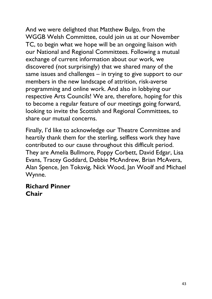And we were delighted that Matthew Bulgo, from the WGGB Welsh Committee, could join us at our November TC, to begin what we hope will be an ongoing liaison with our National and Regional Committees. Following a mutual exchange of current information about our work, we discovered (not surprisingly) that we shared many of the same issues and challenges – in trying to give support to our members in the new landscape of attrition, risk-averse programming and online work. And also in lobbying our respective Arts Councils! We are, therefore, hoping for this to become a regular feature of our meetings going forward, looking to invite the Scottish and Regional Committees, to share our mutual concerns.

Finally, I'd like to acknowledge our Theatre Committee and heartily thank them for the sterling, selfless work they have contributed to our cause throughout this difficult period. They are Amelia Bullmore, Poppy Corbett, David Edgar, Lisa Evans, Tracey Goddard, Debbie McAndrew, Brian McAvera, Alan Spence, Jen Toksvig, Nick Wood, Jan Woolf and Michael Wynne.

#### Richard Pinner **Chair**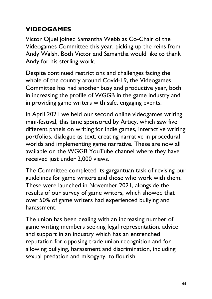#### **VIDEOGAMES**

Victor Ojuel joined Samantha Webb as Co-Chair of the Videogames Committee this year, picking up the reins from Andy Walsh. Both Victor and Samantha would like to thank Andy for his sterling work.

Despite continued restrictions and challenges facing the whole of the country around Covid-19, the Videogames Committee has had another busy and productive year, both in increasing the profile of WGGB in the game industry and in providing game writers with safe, engaging events.

In April 2021 we held our second online videogames writing mini-festival, this time sponsored by Articy, which saw five different panels on writing for indie games, interactive writing portfolios, dialogue as text, creating narrative in procedural worlds and implementing game narrative. These are now all available on the WGGB YouTube channel where they have received just under 2,000 views.

The Committee completed its gargantuan task of revising our guidelines for game writers and those who work with them. These were launched in November 2021, alongside the results of our survey of game writers, which showed that over 50% of game writers had experienced bullying and harassment.

The union has been dealing with an increasing number of game writing members seeking legal representation, advice and support in an industry which has an entrenched reputation for opposing trade union recognition and for allowing bullying, harassment and discrimination, including sexual predation and misogyny, to flourish.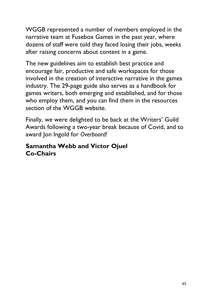WGGB represented a number of members employed in the narrative team at Fusebox Games in the past year, where dozens of staff were told they faced losing their jobs, weeks after raising concerns about content in a game.

The new guidelines aim to establish best practice and encourage fair, productive and safe workspaces for those involved in the creation of interactive narrative in the games industry. The 29-page guide also serves as a handbook for games writers, both emerging and established, and for those who employ them, and you can find them in the resources section of the WGGB website.

Finally, we were delighted to be back at the Writers' Guild Awards following a two-year break because of Covid, and to award Jon Ingold for Overboard!

#### Samantha Webb and Victor Ojuel Co-Chairs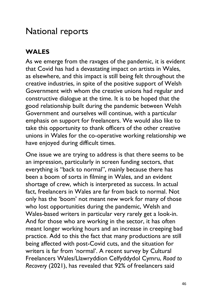## National reports

## WALES

As we emerge from the ravages of the pandemic, it is evident that Covid has had a devastating impact on artists in Wales, as elsewhere, and this impact is still being felt throughout the creative industries, in spite of the positive support of Welsh Government with whom the creative unions had regular and constructive dialogue at the time. It is to be hoped that the good relationship built during the pandemic between Welsh Government and ourselves will continue, with a particular emphasis on support for freelancers. We would also like to take this opportunity to thank officers of the other creative unions in Wales for the co-operative working relationship we have enjoyed during difficult times.

One issue we are trying to address is that there seems to be an impression, particularly in screen funding sectors, that everything is "back to normal", mainly because there has been a boom of sorts in filming in Wales, and an evident shortage of crew, which is interpreted as success. In actual fact, freelancers in Wales are far from back to normal. Not only has the 'boom' not meant new work for many of those who lost opportunities during the pandemic, Welsh and Wales-based writers in particular very rarely get a look-in. And for those who are working in the sector, it has often meant longer working hours and an increase in creeping bad practice. Add to this the fact that many productions are still being affected with post-Covid cuts, and the situation for writers is far from 'normal'. A recent survey by Cultural Freelancers Wales/Llawryddion Celfyddydol Cymru, Road to Recovery (2021), has revealed that 92% of freelancers said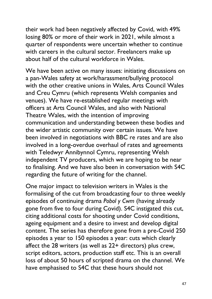their work had been negatively affected by Covid, with 49% losing 80% or more of their work in 2021, while almost a quarter of respondents were uncertain whether to continue with careers in the cultural sector. Freelancers make up about half of the cultural workforce in Wales.

We have been active on many issues: initiating discussions on a pan-Wales safety at work/harassment/bullying protocol with the other creative unions in Wales, Arts Council Wales and Creu Cymru (which represents Welsh companies and venues). We have re-established regular meetings with officers at Arts Council Wales, and also with National Theatre Wales, with the intention of improving communication and understanding between these bodies and the wider artistic community over certain issues. We have been involved in negotiations with BBC re rates and are also involved in a long-overdue overhaul of rates and agreements with Teledwyr Annibynnol Cymru, representing Welsh independent TV producers, which we are hoping to be near to finalising. And we have also been in conversation with S4C regarding the future of writing for the channel.

One major impact to television writers in Wales is the formalising of the cut from broadcasting four to three weekly episodes of continuing drama Pobol y Cwm (having already gone from five to four during Covid). S4C instigated this cut, citing additional costs for shooting under Covid conditions, ageing equipment and a desire to invest and develop digital content. The series has therefore gone from a pre-Covid 250 episodes a year to 150 episodes a year: cuts which clearly affect the 28 writers (as well as 22+ directors) plus crew, script editors, actors, production staff etc. This is an overall loss of about 50 hours of scripted drama on the channel. We have emphasised to S4C that these hours should not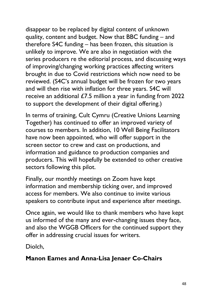disappear to be replaced by digital content of unknown quality, content and budget. Now that BBC funding – and therefore S4C funding – has been frozen, this situation is unlikely to improve. We are also in negotiation with the series producers re the editorial process, and discussing ways of improving/changing working practices affecting writers brought in due to Covid restrictions which now need to be reviewed. (S4C's annual budget will be frozen for two years and will then rise with inflation for three years. S4C will receive an additional £7.5 million a year in funding from 2022 to support the development of their digital offering.)

In terms of training, Cult Cymru (Creative Unions Learning Together) has continued to offer an improved variety of courses to members. In addition, 10 Well Being Facilitators have now been appointed, who will offer support in the screen sector to crew and cast on productions, and information and guidance to production companies and producers. This will hopefully be extended to other creative sectors following this pilot.

Finally, our monthly meetings on Zoom have kept information and membership ticking over, and improved access for members. We also continue to invite various speakers to contribute input and experience after meetings.

Once again, we would like to thank members who have kept us informed of the many and ever-changing issues they face, and also the WGGB Officers for the continued support they offer in addressing crucial issues for writers.

Diolch,

#### Manon Eames and Anna-Lisa Jenaer Co-Chairs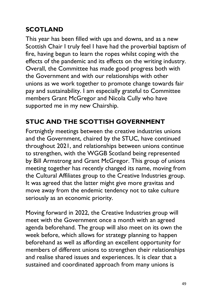## SCOTLAND

This year has been filled with ups and downs, and as a new Scottish Chair I truly feel I have had the proverbial baptism of fire, having begun to learn the ropes whilst coping with the effects of the pandemic and its effects on the writing industry. Overall, the Committee has made good progress both with the Government and with our relationships with other unions as we work together to promote change towards fair pay and sustainability. I am especially grateful to Committee members Grant McGregor and Nicola Cully who have supported me in my new Chairship.

## STUC AND THE SCOTTISH GOVERNMENT

Fortnightly meetings between the creative industries unions and the Government, chaired by the STUC, have continued throughout 2021, and relationships between unions continue to strengthen, with the WGGB Scotland being represented by Bill Armstrong and Grant McGregor. This group of unions meeting together has recently changed its name, moving from the Cultural Affiliates group to the Creative Industries group. It was agreed that the latter might give more gravitas and move away from the endemic tendency not to take culture seriously as an economic priority.

Moving forward in 2022, the Creative Industries group will meet with the Government once a month with an agreed agenda beforehand. The group will also meet on its own the week before, which allows for strategy planning to happen beforehand as well as affording an excellent opportunity for members of different unions to strengthen their relationships and realise shared issues and experiences. It is clear that a sustained and coordinated approach from many unions is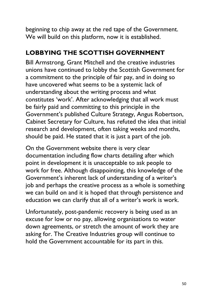beginning to chip away at the red tape of the Government. We will build on this platform, now it is established.

#### LOBBYING THE SCOTTISH GOVERNMENT

Bill Armstrong, Grant Mitchell and the creative industries unions have continued to lobby the Scottish Government for a commitment to the principle of fair pay, and in doing so have uncovered what seems to be a systemic lack of understanding about the writing process and what constitutes 'work'. After acknowledging that all work must be fairly paid and committing to this principle in the Government's published Culture Strategy, Angus Robertson, Cabinet Secretary for Culture, has refuted the idea that initial research and development, often taking weeks and months, should be paid. He stated that it is just a part of the job.

On the Government website there is very clear documentation including flow charts detailing after which point in development it is unacceptable to ask people to work for free. Although disappointing, this knowledge of the Government's inherent lack of understanding of a writer's job and perhaps the creative process as a whole is something we can build on and it is hoped that through persistence and education we can clarify that all of a writer's work is work.

Unfortunately, post-pandemic recovery is being used as an excuse for low or no pay, allowing organisations to water down agreements, or stretch the amount of work they are asking for. The Creative Industries group will continue to hold the Government accountable for its part in this.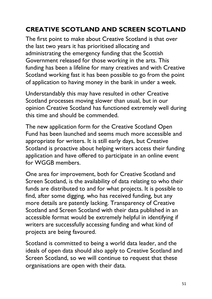## CREATIVE SCOTLAND AND SCREEN SCOTLAND

The first point to make about Creative Scotland is that over the last two years it has prioritised allocating and administrating the emergency funding that the Scottish Government released for those working in the arts. This funding has been a lifeline for many creatives and with Creative Scotland working fast it has been possible to go from the point of application to having money in the bank in under a week.

Understandably this may have resulted in other Creative Scotland processes moving slower than usual, but in our opinion Creative Scotland has functioned extremely well during this time and should be commended.

The new application form for the Creative Scotland Open Fund has been launched and seems much more accessible and appropriate for writers. It is still early days, but Creative Scotland is proactive about helping writers access their funding application and have offered to participate in an online event for WGGB members.

One area for improvement, both for Creative Scotland and Screen Scotland, is the availability of data relating to who their funds are distributed to and for what projects. It is possible to find, after some digging, who has received funding, but any more details are patently lacking. Transparency of Creative Scotland and Screen Scotland with their data published in an accessible format would be extremely helpful in identifying if writers are successfully accessing funding and what kind of projects are being favoured.

Scotland is committed to being a world data leader, and the ideals of open data should also apply to Creative Scotland and Screen Scotland, so we will continue to request that these organisations are open with their data.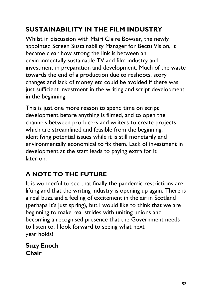## SUSTAINABILITY IN THE FILM INDUSTRY

Whilst in discussion with Mairi Claire Bowser, the newly appointed Screen Sustainability Manager for Bectu Vision, it became clear how strong the link is between an environmentally sustainable TV and film industry and investment in preparation and development. Much of the waste towards the end of a production due to reshoots, story changes and lack of money etc could be avoided if there was just sufficient investment in the writing and script development in the beginning.

This is just one more reason to spend time on script development before anything is filmed, and to open the channels between producers and writers to create projects which are streamlined and feasible from the beginning, identifying potential issues while it is still monetarily and environmentally economical to fix them. Lack of investment in development at the start leads to paying extra for it later on.

## A NOTE TO THE FUTURE

It is wonderful to see that finally the pandemic restrictions are lifting and that the writing industry is opening up again. There is a real buzz and a feeling of excitement in the air in Scotland (perhaps it's just spring), but I would like to think that we are beginning to make real strides with uniting unions and becoming a recognised presence that the Government needs to listen to. I look forward to seeing what next year holds!

Suzy Enoch Chair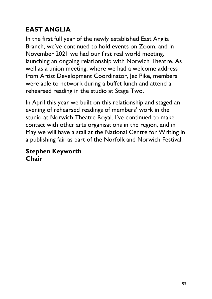## EAST ANGLIA

In the first full year of the newly established East Anglia Branch, we've continued to hold events on Zoom, and in November 2021 we had our first real world meeting, launching an ongoing relationship with Norwich Theatre. As well as a union meeting, where we had a welcome address from Artist Development Coordinator, Jez Pike, members were able to network during a buffet lunch and attend a rehearsed reading in the studio at Stage Two.

In April this year we built on this relationship and staged an evening of rehearsed readings of members' work in the studio at Norwich Theatre Royal. I've continued to make contact with other arts organisations in the region, and in May we will have a stall at the National Centre for Writing in a publishing fair as part of the Norfolk and Norwich Festival.

#### Stephen Keyworth Chair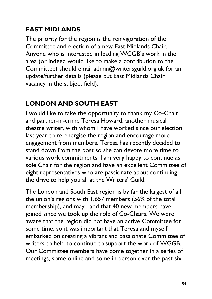### EAST MIDLANDS

The priority for the region is the reinvigoration of the Committee and election of a new East Midlands Chair. Anyone who is interested in leading WGGB's work in the area (or indeed would like to make a contribution to the Committee) should email admin@writersguild.org.uk for an update/further details (please put East Midlands Chair vacancy in the subject field).

#### LONDON AND SOUTH EAST

I would like to take the opportunity to thank my Co-Chair and partner-in-crime Teresa Howard, another musical theatre writer, with whom I have worked since our election last year to re-energise the region and encourage more engagement from members. Teresa has recently decided to stand down from the post so she can devote more time to various work commitments. I am very happy to continue as sole Chair for the region and have an excellent Committee of eight representatives who are passionate about continuing the drive to help you all at the Writers' Guild.

The London and South East region is by far the largest of all the union's regions with 1,657 members (56% of the total membership), and may I add that 40 new members have joined since we took up the role of Co-Chairs. We were aware that the region did not have an active Committee for some time, so it was important that Teresa and myself embarked on creating a vibrant and passionate Committee of writers to help to continue to support the work of WGGB. Our Committee members have come together in a series of meetings, some online and some in person over the past six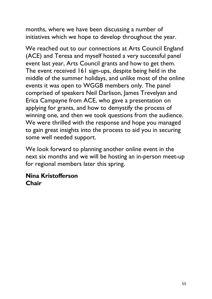months, where we have been discussing a number of initiatives which we hope to develop throughout the year.

We reached out to our connections at Arts Council England (ACE) and Teresa and myself hosted a very successful panel event last year, Arts Council grants and how to get them. The event received 161 sign-ups, despite being held in the middle of the summer holidays, and unlike most of the online events it was open to WGGB members only. The panel comprised of speakers Neil Darlison, James Trevelyan and Erica Campayne from ACE, who gave a presentation on applying for grants, and how to demystify the process of winning one, and then we took questions from the audience. We were thrilled with the response and hope you managed to gain great insights into the process to aid you in securing some well needed support.

We look forward to planning another online event in the next six months and we will be hosting an in-person meet-up for regional members later this spring.

#### Nina Kristofferson **Chair**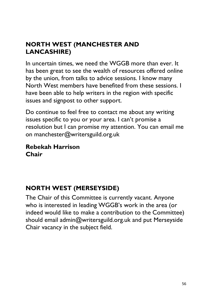## NORTH WEST (MANCHESTER AND LANCASHIRE)

In uncertain times, we need the WGGB more than ever. It has been great to see the wealth of resources offered online by the union, from talks to advice sessions. I know many North West members have benefited from these sessions. I have been able to help writers in the region with specific issues and signpost to other support.

Do continue to feel free to contact me about any writing issues specific to you or your area. I can't promise a resolution but I can promise my attention. You can email me on manchester@writersguild.org.uk

#### Rebekah Harrison Chair

## NORTH WEST (MERSEYSIDE)

The Chair of this Committee is currently vacant. Anyone who is interested in leading WGGB's work in the area (or indeed would like to make a contribution to the Committee) should email admin@writersguild.org.uk and put Merseyside Chair vacancy in the subject field.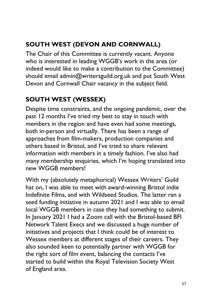## SOUTH WEST (DEVON AND CORNWALL)

The Chair of this Committee is currently vacant. Anyone who is interested in leading WGGB's work in the area (or indeed would like to make a contribution to the Committee) should email admin@writersguild.org.uk and put South West Devon and Cornwall Chair vacancy in the subject field.

## SOUTH WEST (WESSEX)

Despite time constraints, and the ongoing pandemic, over the past 12 months I've tried my best to stay in touch with members in the region and have even had some meetings, both in-person and virtually. There has been a range of approaches from film-makers, production companies and others based in Bristol, and I've tried to share relevant information with members in a timely fashion. I've also had many membership enquiries, which I'm hoping translated into new WGGB members!

With my (absolutely metaphorical) Wessex Writers' Guild hat on, I was able to meet with award-winning Bristol indie Indefinite Films, and with Wildseed Studios. The latter ran a seed funding initiative in autumn 2021 and I was able to email local WGGB members in case they had something to submit. In January 2021 I had a Zoom call with the Bristol-based BFI Network Talent Execs and we discussed a huge number of initiatives and projects that I think could be of interest to Wessex members at different stages of their careers. They also sounded keen to potentially partner with WGGB for the right sort of film event, balancing the contacts I've started to build within the Royal Television Society West of England area.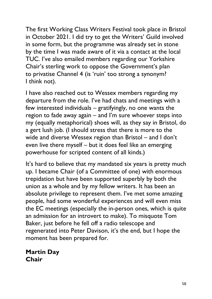The first Working Class Writers Festival took place in Bristol in October 2021. I did try to get the Writers' Guild involved in some form, but the programme was already set in stone by the time I was made aware of it via a contact at the local TUC. I've also emailed members regarding our Yorkshire Chair's sterling work to oppose the Government's plan to privatise Channel 4 (is 'ruin' too strong a synonym? I think not).

I have also reached out to Wessex members regarding my departure from the role. I've had chats and meetings with a few interested individuals – gratifyingly, no one wants the region to fade away again – and I'm sure whoever steps into my (equally metaphorical) shoes will, as they say in Bristol, do a gert lush job. (I should stress that there is more to the wide and diverse Wessex region than Bristol – and I don't even live there myself – but it does feel like an emerging powerhouse for scripted content of all kinds.)

It's hard to believe that my mandated six years is pretty much up. I became Chair (of a Committee of one) with enormous trepidation but have been supported superbly by both the union as a whole and by my fellow writers. It has been an absolute privilege to represent them. I've met some amazing people, had some wonderful experiences and will even miss the EC meetings (especially the in-person ones, which is quite an admission for an introvert to make). To misquote Tom Baker, just before he fell off a radio telescope and regenerated into Peter Davison, it's the end, but I hope the moment has been prepared for.

Martin Day Chair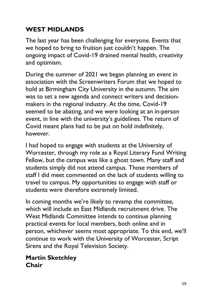## WEST MIDLANDS

The last year has been challenging for everyone. Events that we hoped to bring to fruition just couldn't happen. The ongoing impact of Covid-19 drained mental health, creativity and optimism.

During the summer of 2021 we began planning an event in association with the Screenwriters Forum that we hoped to hold at Birmingham City University in the autumn. The aim was to set a new agenda and connect writers and decisionmakers in the regional industry. At the time, Covid-19 seemed to be abating, and we were looking at an in-person event, in line with the university's guidelines. The return of Covid meant plans had to be put on hold indefinitely, however.

I had hoped to engage with students at the University of Worcester, through my role as a Royal Literary Fund Writing Fellow, but the campus was like a ghost town. Many staff and students simply did not attend campus. Those members of staff I did meet commented on the lack of students willing to travel to campus. My opportunities to engage with staff or students were therefore extremely limited.

In coming months we're likely to revamp the committee, which will include an East Midlands recruitment drive. The West Midlands Committee intends to continue planning practical events for local members, both online and in person, whichever seems most appropriate. To this end, we'll continue to work with the University of Worcester, Script Sirens and the Royal Television Society.

#### Martin Sketchley Chair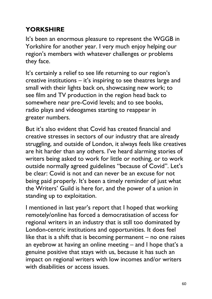## **YORKSHIRE**

It's been an enormous pleasure to represent the WGGB in Yorkshire for another year. I very much enjoy helping our region's members with whatever challenges or problems they face.

It's certainly a relief to see life returning to our region's creative institutions – it's inspiring to see theatres large and small with their lights back on, showcasing new work; to see film and TV production in the region head back to somewhere near pre-Covid levels; and to see books, radio plays and videogames starting to reappear in greater numbers.

But it's also evident that Covid has created financial and creative stresses in sectors of our industry that are already struggling, and outside of London, it always feels like creatives are hit harder than any others. I've heard alarming stories of writers being asked to work for little or nothing, or to work outside normally agreed guidelines "because of Covid". Let's be clear: Covid is not and can never be an excuse for not being paid properly. It's been a timely reminder of just what the Writers' Guild is here for, and the power of a union in standing up to exploitation.

I mentioned in last year's report that I hoped that working remotely/online has forced a democratisation of access for regional writers in an industry that is still too dominated by London-centric institutions and opportunities. It does feel like that is a shift that is becoming permanent  $-$  no one raises an eyebrow at having an online meeting – and I hope that's a genuine positive that stays with us, because it has such an impact on regional writers with low incomes and/or writers with disabilities or access issues.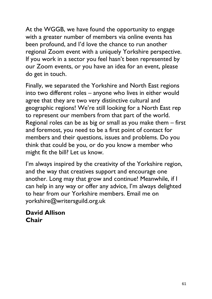At the WGGB, we have found the opportunity to engage with a greater number of members via online events has been profound, and I'd love the chance to run another regional Zoom event with a uniquely Yorkshire perspective. If you work in a sector you feel hasn't been represented by our Zoom events, or you have an idea for an event, please do get in touch.

Finally, we separated the Yorkshire and North East regions into two different roles – anyone who lives in either would agree that they are two very distinctive cultural and geographic regions! We're still looking for a North East rep to represent our members from that part of the world. Regional roles can be as big or small as you make them – first and foremost, you need to be a first point of contact for members and their questions, issues and problems. Do you think that could be you, or do you know a member who might fit the bill? Let us know.

I'm always inspired by the creativity of the Yorkshire region, and the way that creatives support and encourage one another. Long may that grow and continue! Meanwhile, if I can help in any way or offer any advice, I'm always delighted to hear from our Yorkshire members. Email me on yorkshire@writersguild.org.uk

#### David Allison Chair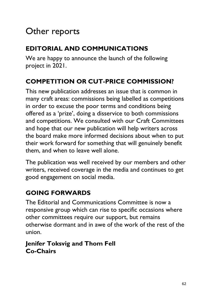## Other reports

## EDITORIAL AND COMMUNICATIONS

We are happy to announce the launch of the following project in 2021.

## COMPETITION OR CUT-PRICE COMMISSION?

This new publication addresses an issue that is common in many craft areas: commissions being labelled as competitions in order to excuse the poor terms and conditions being offered as a 'prize', doing a disservice to both commissions and competitions. We consulted with our Craft Committees and hope that our new publication will help writers across the board make more informed decisions about when to put their work forward for something that will genuinely benefit them, and when to leave well alone.

The publication was well received by our members and other writers, received coverage in the media and continues to get good engagement on social media.

## GOING FORWARDS

The Editorial and Communications Committee is now a responsive group which can rise to specific occasions where other committees require our support, but remains otherwise dormant and in awe of the work of the rest of the union.

### Jenifer Toksvig and Thom Fell Co-Chairs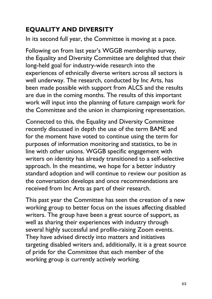## EQUALITY AND DIVERSITY

In its second full year, the Committee is moving at a pace.

Following on from last year's WGGB membership survey, the Equality and Diversity Committee are delighted that their long-held goal for industry-wide research into the experiences of ethnically diverse writers across all sectors is well underway. The research, conducted by Inc Arts, has been made possible with support from ALCS and the results are due in the coming months. The results of this important work will input into the planning of future campaign work for the Committee and the union in championing representation.

Connected to this, the Equality and Diversity Committee recently discussed in depth the use of the term BAME and for the moment have voted to continue using the term for purposes of information monitoring and statistics, to be in line with other unions. WGGB specific engagement with writers on identity has already transitioned to a self-selective approach. In the meantime, we hope for a better industry standard adoption and will continue to review our position as the conversation develops and once recommendations are received from Inc Arts as part of their research.

This past year the Committee has seen the creation of a new working group to better focus on the issues affecting disabled writers. The group have been a great source of support, as well as sharing their experiences with industry through several highly successful and profile-raising Zoom events. They have advised directly into matters and initiatives targeting disabled writers and, additionally, it is a great source of pride for the Committee that each member of the working group is currently actively working.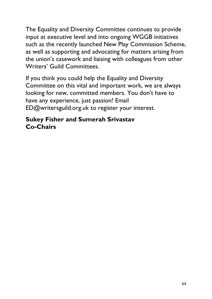The Equality and Diversity Committee continues to provide input at executive level and into ongoing WGGB initiatives such as the recently launched New Play Commission Scheme, as well as supporting and advocating for matters arising from the union's casework and liaising with colleagues from other Writers' Guild Committees.

If you think you could help the Equality and Diversity Committee on this vital and important work, we are always looking for new, committed members. You don't have to have any experience, just passion! Email ED@writersguild.org.uk to register your interest.

#### Sukey Fisher and Sumerah Srivastav Co-Chairs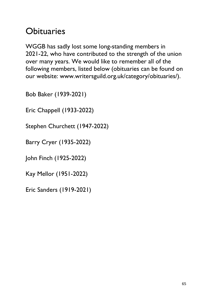## **Obituaries**

WGGB has sadly lost some long-standing members in 2021-22, who have contributed to the strength of the union over many years. We would like to remember all of the following members, listed below (obituaries can be found on our website: www.writersguild.org.uk/category/obituaries/).

Bob Baker (1939-2021)

Eric Chappell (1933-2022)

Stephen Churchett (1947-2022)

Barry Cryer (1935-2022)

John Finch (1925-2022)

Kay Mellor (1951-2022)

Eric Sanders (1919-2021)